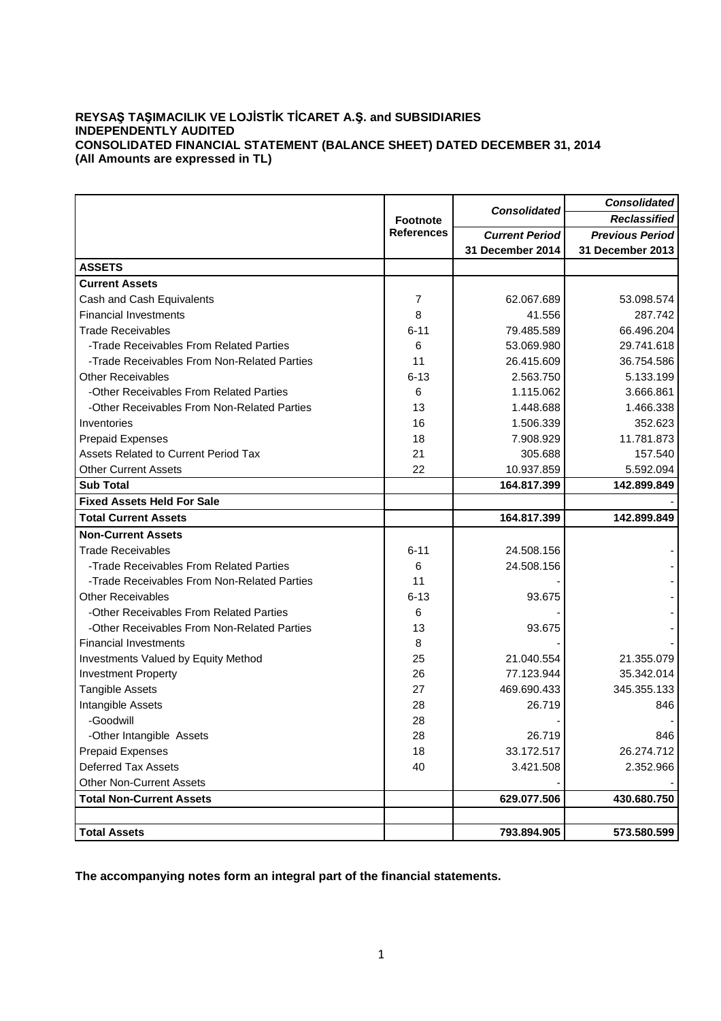## **REYSAŞ TAŞIMACILIK VE LOJİSTİK TİCARET A.Ş. and SUBSIDIARIES INDEPENDENTLY AUDITED CONSOLIDATED FINANCIAL STATEMENT (BALANCE SHEET) DATED DECEMBER 31, 2014 (All Amounts are expressed in TL)**

|                                             |                   |                       | <b>Consolidated</b>    |  |
|---------------------------------------------|-------------------|-----------------------|------------------------|--|
|                                             | <b>Footnote</b>   | <b>Consolidated</b>   | <b>Reclassified</b>    |  |
|                                             | <b>References</b> | <b>Current Period</b> | <b>Previous Period</b> |  |
|                                             |                   | 31 December 2014      | 31 December 2013       |  |
| <b>ASSETS</b>                               |                   |                       |                        |  |
| <b>Current Assets</b>                       |                   |                       |                        |  |
| Cash and Cash Equivalents                   | 7                 | 62.067.689            | 53.098.574             |  |
| <b>Financial Investments</b>                | 8                 | 41.556                | 287.742                |  |
| <b>Trade Receivables</b>                    | $6 - 11$          | 79.485.589            | 66.496.204             |  |
| -Trade Receivables From Related Parties     | 6                 | 53.069.980            | 29.741.618             |  |
| -Trade Receivables From Non-Related Parties | 11                | 26.415.609            | 36.754.586             |  |
| <b>Other Receivables</b>                    | $6 - 13$          | 2.563.750             | 5.133.199              |  |
| -Other Receivables From Related Parties     | 6                 | 1.115.062             | 3.666.861              |  |
| -Other Receivables From Non-Related Parties | 13                | 1.448.688             | 1.466.338              |  |
| Inventories                                 | 16                | 1.506.339             | 352.623                |  |
| <b>Prepaid Expenses</b>                     | 18                | 7.908.929             | 11.781.873             |  |
| Assets Related to Current Period Tax        | 21                | 305.688               | 157.540                |  |
| <b>Other Current Assets</b>                 | 22                | 10.937.859            | 5.592.094              |  |
| <b>Sub Total</b>                            |                   | 164.817.399           | 142.899.849            |  |
| <b>Fixed Assets Held For Sale</b>           |                   |                       |                        |  |
| <b>Total Current Assets</b>                 |                   | 164.817.399           | 142.899.849            |  |
| <b>Non-Current Assets</b>                   |                   |                       |                        |  |
| <b>Trade Receivables</b>                    | $6 - 11$          | 24.508.156            |                        |  |
| -Trade Receivables From Related Parties     | 6                 | 24.508.156            |                        |  |
| -Trade Receivables From Non-Related Parties | 11                |                       |                        |  |
| <b>Other Receivables</b>                    | $6 - 13$          | 93.675                |                        |  |
| -Other Receivables From Related Parties     | 6                 |                       |                        |  |
| -Other Receivables From Non-Related Parties | 13                | 93.675                |                        |  |
| <b>Financial Investments</b>                | 8                 |                       |                        |  |
| Investments Valued by Equity Method         | 25                | 21.040.554            | 21.355.079             |  |
| <b>Investment Property</b>                  | 26                | 77.123.944            | 35.342.014             |  |
| Tangible Assets                             | 27                | 469.690.433           | 345.355.133            |  |
| Intangible Assets                           | 28                | 26.719                | 846                    |  |
| -Goodwill                                   | 28                |                       |                        |  |
| -Other Intangible Assets                    | 28                | 26.719                | 846                    |  |
| <b>Prepaid Expenses</b>                     | 18                | 33.172.517            | 26.274.712             |  |
| <b>Deferred Tax Assets</b>                  | 40                | 3.421.508             | 2.352.966              |  |
| <b>Other Non-Current Assets</b>             |                   |                       |                        |  |
| <b>Total Non-Current Assets</b>             |                   | 629.077.506           | 430.680.750            |  |
|                                             |                   |                       |                        |  |
| <b>Total Assets</b>                         |                   | 793.894.905           | 573.580.599            |  |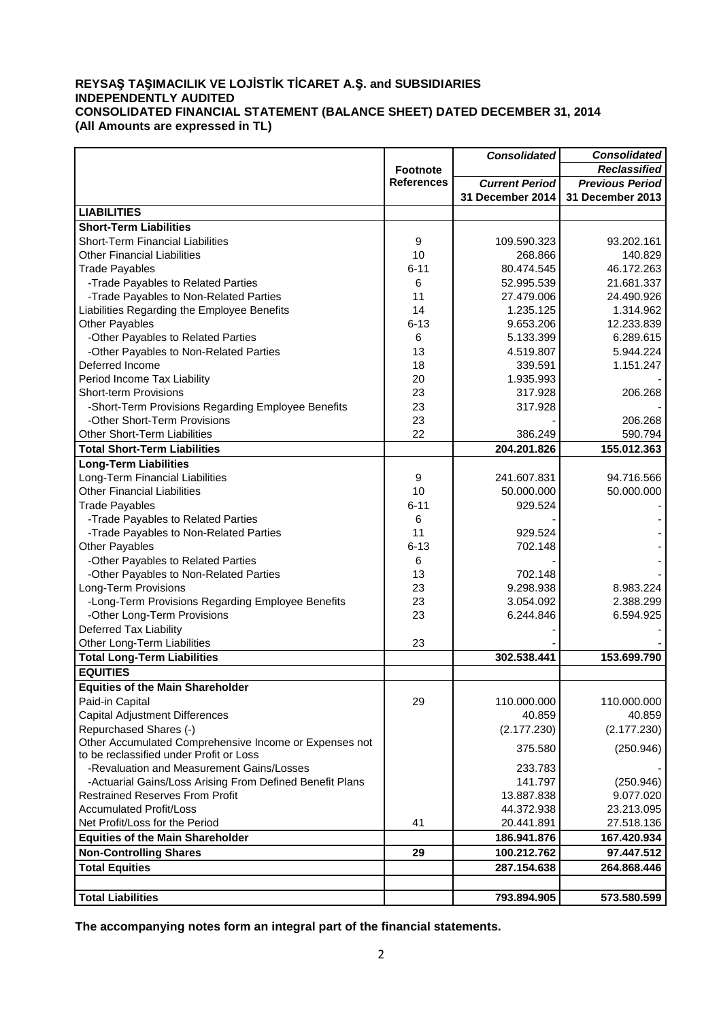## **REYSAŞ TAŞIMACILIK VE LOJİSTİK TİCARET A.Ş. and SUBSIDIARIES INDEPENDENTLY AUDITED CONSOLIDATED FINANCIAL STATEMENT (BALANCE SHEET) DATED DECEMBER 31, 2014 (All Amounts are expressed in TL)**

|                                                          |                   | <b>Consolidated</b>   | <b>Consolidated</b>    |  |  |
|----------------------------------------------------------|-------------------|-----------------------|------------------------|--|--|
|                                                          | <b>Footnote</b>   |                       | <b>Reclassified</b>    |  |  |
|                                                          | <b>References</b> | <b>Current Period</b> | <b>Previous Period</b> |  |  |
|                                                          |                   | 31 December 2014      | 31 December 2013       |  |  |
| <b>LIABILITIES</b>                                       |                   |                       |                        |  |  |
| <b>Short-Term Liabilities</b>                            |                   |                       |                        |  |  |
| <b>Short-Term Financial Liabilities</b>                  | 9                 | 109.590.323           | 93.202.161             |  |  |
| <b>Other Financial Liabilities</b>                       | 10                | 268.866               | 140.829                |  |  |
| <b>Trade Payables</b>                                    | $6 - 11$          | 80.474.545            | 46.172.263             |  |  |
| -Trade Payables to Related Parties                       | 6                 | 52.995.539            | 21.681.337             |  |  |
| -Trade Payables to Non-Related Parties                   | 11                | 27.479.006            | 24.490.926             |  |  |
| Liabilities Regarding the Employee Benefits              | 14                | 1.235.125             | 1.314.962              |  |  |
| <b>Other Payables</b>                                    | $6 - 13$          | 9.653.206             | 12.233.839             |  |  |
| -Other Payables to Related Parties                       | 6                 | 5.133.399             | 6.289.615              |  |  |
| -Other Payables to Non-Related Parties                   | 13                | 4.519.807             | 5.944.224              |  |  |
| Deferred Income                                          | 18                | 339.591               | 1.151.247              |  |  |
| Period Income Tax Liability                              | 20                | 1.935.993             |                        |  |  |
| <b>Short-term Provisions</b>                             | 23                | 317.928               | 206.268                |  |  |
| -Short-Term Provisions Regarding Employee Benefits       | 23                | 317.928               |                        |  |  |
| -Other Short-Term Provisions                             | 23                |                       | 206.268                |  |  |
| Other Short-Term Liabilities                             | 22                | 386.249               | 590.794                |  |  |
| <b>Total Short-Term Liabilities</b>                      |                   | 204.201.826           | 155.012.363            |  |  |
| <b>Long-Term Liabilities</b>                             |                   |                       |                        |  |  |
| Long-Term Financial Liabilities                          | 9                 | 241.607.831           | 94.716.566             |  |  |
| <b>Other Financial Liabilities</b>                       | 10                | 50.000.000            | 50.000.000             |  |  |
| <b>Trade Payables</b>                                    | $6 - 11$          | 929.524               |                        |  |  |
| -Trade Payables to Related Parties                       | 6                 |                       |                        |  |  |
| -Trade Payables to Non-Related Parties                   | 11                | 929.524               |                        |  |  |
| Other Payables                                           | $6 - 13$          | 702.148               |                        |  |  |
| -Other Payables to Related Parties                       | 6                 |                       |                        |  |  |
| -Other Payables to Non-Related Parties                   | 13                | 702.148               |                        |  |  |
| Long-Term Provisions                                     | 23                | 9.298.938             | 8.983.224              |  |  |
| -Long-Term Provisions Regarding Employee Benefits        | 23                | 3.054.092             | 2.388.299              |  |  |
| -Other Long-Term Provisions                              | 23                | 6.244.846             | 6.594.925              |  |  |
| <b>Deferred Tax Liability</b>                            |                   |                       |                        |  |  |
| Other Long-Term Liabilities                              | 23                |                       |                        |  |  |
| <b>Total Long-Term Liabilities</b>                       |                   | 302.538.441           | 153.699.790            |  |  |
| <b>EQUITIES</b>                                          |                   |                       |                        |  |  |
| <b>Equities of the Main Shareholder</b>                  |                   |                       |                        |  |  |
| Paid-in Capital                                          | 29                | 110.000.000           | 110.000.000            |  |  |
| <b>Capital Adjustment Differences</b>                    |                   | 40.859                | 40.859                 |  |  |
| Repurchased Shares (-)                                   |                   | (2.177.230)           | (2.177.230)            |  |  |
| Other Accumulated Comprehensive Income or Expenses not   |                   |                       |                        |  |  |
| to be reclassified under Profit or Loss                  |                   | 375.580               | (250.946)              |  |  |
| -Revaluation and Measurement Gains/Losses                |                   | 233.783               |                        |  |  |
| -Actuarial Gains/Loss Arising From Defined Benefit Plans |                   | 141.797               | (250.946)              |  |  |
| <b>Restrained Reserves From Profit</b>                   |                   | 13.887.838            | 9.077.020              |  |  |
| <b>Accumulated Profit/Loss</b>                           |                   | 44.372.938            | 23.213.095             |  |  |
| Net Profit/Loss for the Period                           | 41                | 20.441.891            | 27.518.136             |  |  |
| <b>Equities of the Main Shareholder</b>                  |                   | 186.941.876           | 167.420.934            |  |  |
| <b>Non-Controlling Shares</b>                            | 29                | 100.212.762           | 97.447.512             |  |  |
| <b>Total Equities</b>                                    |                   | 287.154.638           | 264.868.446            |  |  |
|                                                          |                   |                       |                        |  |  |
| <b>Total Liabilities</b>                                 |                   | 793.894.905           | 573.580.599            |  |  |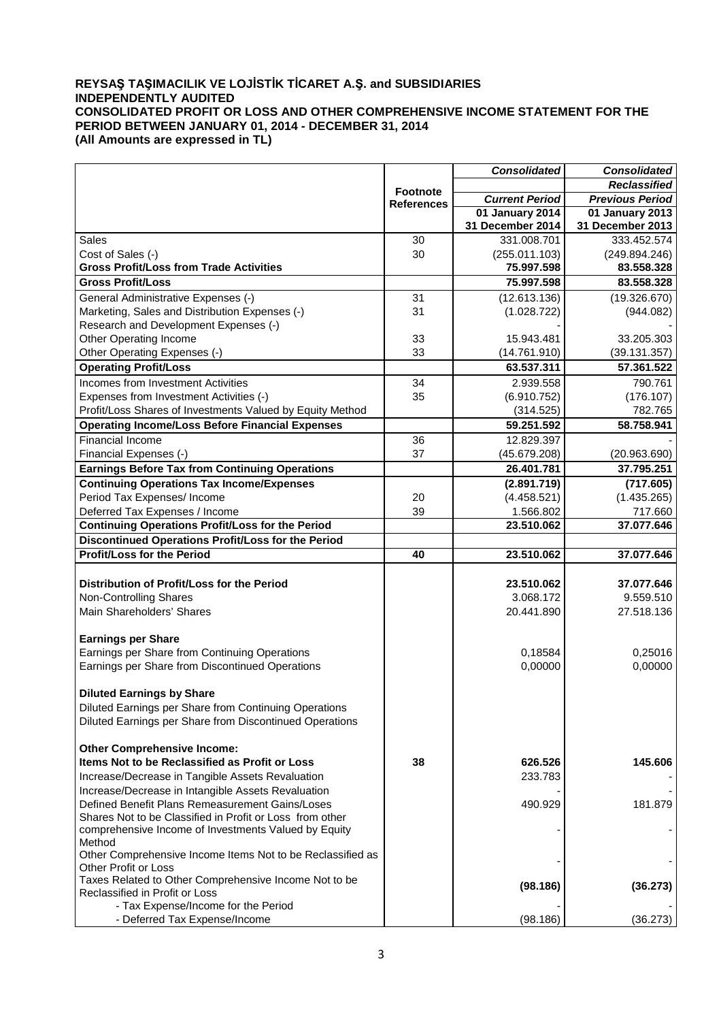## **REYSAŞ TAŞIMACILIK VE LOJİSTİK TİCARET A.Ş. and SUBSIDIARIES INDEPENDENTLY AUDITED CONSOLIDATED PROFIT OR LOSS AND OTHER COMPREHENSIVE INCOME STATEMENT FOR THE PERIOD BETWEEN JANUARY 01, 2014 - DECEMBER 31, 2014 (All Amounts are expressed in TL)**

| <b>Reclassified</b><br><b>Footnote</b><br><b>Current Period</b><br><b>Previous Period</b><br><b>References</b><br>01 January 2014<br>01 January 2013<br>31 December 2014<br>31 December 2013<br>331.008.701<br>333.452.574<br><b>Sales</b><br>30<br>Cost of Sales (-)<br>30<br>(255.011.103)<br>(249.894.246)<br><b>Gross Profit/Loss from Trade Activities</b><br>75.997.598<br>83.558.328<br><b>Gross Profit/Loss</b><br>75.997.598<br>83.558.328<br>General Administrative Expenses (-)<br>31<br>(19.326.670)<br>(12.613.136)<br>Marketing, Sales and Distribution Expenses (-)<br>31<br>(1.028.722)<br>(944.082)<br>Research and Development Expenses (-)<br>Other Operating Income<br>33<br>15.943.481<br>33.205.303<br>Other Operating Expenses (-)<br>33<br>(14.761.910)<br>(39.131.357)<br><b>Operating Profit/Loss</b><br>63.537.311<br>57.361.522<br>Incomes from Investment Activities<br>34<br>2.939.558<br>790.761<br>Expenses from Investment Activities (-)<br>35<br>(6.910.752)<br>(176.107)<br>Profit/Loss Shares of Investments Valued by Equity Method<br>782.765<br>(314.525)<br><b>Operating Income/Loss Before Financial Expenses</b><br>59.251.592<br>58.758.941<br>Financial Income<br>36<br>12.829.397<br>37<br>Financial Expenses (-)<br>(45.679.208)<br>(20.963.690)<br><b>Earnings Before Tax from Continuing Operations</b><br>37.795.251<br>26.401.781<br><b>Continuing Operations Tax Income/Expenses</b><br>(2.891.719)<br>(717.605)<br>Period Tax Expenses/Income<br>20<br>(4.458.521)<br>(1.435.265)<br>Deferred Tax Expenses / Income<br>39<br>1.566.802<br>717.660<br><b>Continuing Operations Profit/Loss for the Period</b><br>37.077.646<br>23.510.062<br>Discontinued Operations Profit/Loss for the Period<br><b>Profit/Loss for the Period</b><br>23.510.062<br>40<br>37.077.646<br>Distribution of Profit/Loss for the Period<br>23.510.062<br>37.077.646<br>Non-Controlling Shares<br>3.068.172<br>9.559.510<br>Main Shareholders' Shares<br>20.441.890<br>27.518.136<br><b>Earnings per Share</b><br>Earnings per Share from Continuing Operations<br>0,18584<br>0,25016<br>Earnings per Share from Discontinued Operations<br>0,00000<br>0,00000<br><b>Diluted Earnings by Share</b><br>Diluted Earnings per Share from Continuing Operations<br>Diluted Earnings per Share from Discontinued Operations |  | <b>Consolidated</b> | <b>Consolidated</b> |  |
|--------------------------------------------------------------------------------------------------------------------------------------------------------------------------------------------------------------------------------------------------------------------------------------------------------------------------------------------------------------------------------------------------------------------------------------------------------------------------------------------------------------------------------------------------------------------------------------------------------------------------------------------------------------------------------------------------------------------------------------------------------------------------------------------------------------------------------------------------------------------------------------------------------------------------------------------------------------------------------------------------------------------------------------------------------------------------------------------------------------------------------------------------------------------------------------------------------------------------------------------------------------------------------------------------------------------------------------------------------------------------------------------------------------------------------------------------------------------------------------------------------------------------------------------------------------------------------------------------------------------------------------------------------------------------------------------------------------------------------------------------------------------------------------------------------------------------------------------------------------------------------------------------------------------------------------------------------------------------------------------------------------------------------------------------------------------------------------------------------------------------------------------------------------------------------------------------------------------------------------------------------------------------------------------------------------------------------------------------------|--|---------------------|---------------------|--|
|                                                                                                                                                                                                                                                                                                                                                                                                                                                                                                                                                                                                                                                                                                                                                                                                                                                                                                                                                                                                                                                                                                                                                                                                                                                                                                                                                                                                                                                                                                                                                                                                                                                                                                                                                                                                                                                                                                                                                                                                                                                                                                                                                                                                                                                                                                                                                        |  |                     |                     |  |
|                                                                                                                                                                                                                                                                                                                                                                                                                                                                                                                                                                                                                                                                                                                                                                                                                                                                                                                                                                                                                                                                                                                                                                                                                                                                                                                                                                                                                                                                                                                                                                                                                                                                                                                                                                                                                                                                                                                                                                                                                                                                                                                                                                                                                                                                                                                                                        |  |                     |                     |  |
|                                                                                                                                                                                                                                                                                                                                                                                                                                                                                                                                                                                                                                                                                                                                                                                                                                                                                                                                                                                                                                                                                                                                                                                                                                                                                                                                                                                                                                                                                                                                                                                                                                                                                                                                                                                                                                                                                                                                                                                                                                                                                                                                                                                                                                                                                                                                                        |  |                     |                     |  |
|                                                                                                                                                                                                                                                                                                                                                                                                                                                                                                                                                                                                                                                                                                                                                                                                                                                                                                                                                                                                                                                                                                                                                                                                                                                                                                                                                                                                                                                                                                                                                                                                                                                                                                                                                                                                                                                                                                                                                                                                                                                                                                                                                                                                                                                                                                                                                        |  |                     |                     |  |
|                                                                                                                                                                                                                                                                                                                                                                                                                                                                                                                                                                                                                                                                                                                                                                                                                                                                                                                                                                                                                                                                                                                                                                                                                                                                                                                                                                                                                                                                                                                                                                                                                                                                                                                                                                                                                                                                                                                                                                                                                                                                                                                                                                                                                                                                                                                                                        |  |                     |                     |  |
|                                                                                                                                                                                                                                                                                                                                                                                                                                                                                                                                                                                                                                                                                                                                                                                                                                                                                                                                                                                                                                                                                                                                                                                                                                                                                                                                                                                                                                                                                                                                                                                                                                                                                                                                                                                                                                                                                                                                                                                                                                                                                                                                                                                                                                                                                                                                                        |  |                     |                     |  |
|                                                                                                                                                                                                                                                                                                                                                                                                                                                                                                                                                                                                                                                                                                                                                                                                                                                                                                                                                                                                                                                                                                                                                                                                                                                                                                                                                                                                                                                                                                                                                                                                                                                                                                                                                                                                                                                                                                                                                                                                                                                                                                                                                                                                                                                                                                                                                        |  |                     |                     |  |
|                                                                                                                                                                                                                                                                                                                                                                                                                                                                                                                                                                                                                                                                                                                                                                                                                                                                                                                                                                                                                                                                                                                                                                                                                                                                                                                                                                                                                                                                                                                                                                                                                                                                                                                                                                                                                                                                                                                                                                                                                                                                                                                                                                                                                                                                                                                                                        |  |                     |                     |  |
|                                                                                                                                                                                                                                                                                                                                                                                                                                                                                                                                                                                                                                                                                                                                                                                                                                                                                                                                                                                                                                                                                                                                                                                                                                                                                                                                                                                                                                                                                                                                                                                                                                                                                                                                                                                                                                                                                                                                                                                                                                                                                                                                                                                                                                                                                                                                                        |  |                     |                     |  |
|                                                                                                                                                                                                                                                                                                                                                                                                                                                                                                                                                                                                                                                                                                                                                                                                                                                                                                                                                                                                                                                                                                                                                                                                                                                                                                                                                                                                                                                                                                                                                                                                                                                                                                                                                                                                                                                                                                                                                                                                                                                                                                                                                                                                                                                                                                                                                        |  |                     |                     |  |
|                                                                                                                                                                                                                                                                                                                                                                                                                                                                                                                                                                                                                                                                                                                                                                                                                                                                                                                                                                                                                                                                                                                                                                                                                                                                                                                                                                                                                                                                                                                                                                                                                                                                                                                                                                                                                                                                                                                                                                                                                                                                                                                                                                                                                                                                                                                                                        |  |                     |                     |  |
|                                                                                                                                                                                                                                                                                                                                                                                                                                                                                                                                                                                                                                                                                                                                                                                                                                                                                                                                                                                                                                                                                                                                                                                                                                                                                                                                                                                                                                                                                                                                                                                                                                                                                                                                                                                                                                                                                                                                                                                                                                                                                                                                                                                                                                                                                                                                                        |  |                     |                     |  |
|                                                                                                                                                                                                                                                                                                                                                                                                                                                                                                                                                                                                                                                                                                                                                                                                                                                                                                                                                                                                                                                                                                                                                                                                                                                                                                                                                                                                                                                                                                                                                                                                                                                                                                                                                                                                                                                                                                                                                                                                                                                                                                                                                                                                                                                                                                                                                        |  |                     |                     |  |
|                                                                                                                                                                                                                                                                                                                                                                                                                                                                                                                                                                                                                                                                                                                                                                                                                                                                                                                                                                                                                                                                                                                                                                                                                                                                                                                                                                                                                                                                                                                                                                                                                                                                                                                                                                                                                                                                                                                                                                                                                                                                                                                                                                                                                                                                                                                                                        |  |                     |                     |  |
|                                                                                                                                                                                                                                                                                                                                                                                                                                                                                                                                                                                                                                                                                                                                                                                                                                                                                                                                                                                                                                                                                                                                                                                                                                                                                                                                                                                                                                                                                                                                                                                                                                                                                                                                                                                                                                                                                                                                                                                                                                                                                                                                                                                                                                                                                                                                                        |  |                     |                     |  |
|                                                                                                                                                                                                                                                                                                                                                                                                                                                                                                                                                                                                                                                                                                                                                                                                                                                                                                                                                                                                                                                                                                                                                                                                                                                                                                                                                                                                                                                                                                                                                                                                                                                                                                                                                                                                                                                                                                                                                                                                                                                                                                                                                                                                                                                                                                                                                        |  |                     |                     |  |
|                                                                                                                                                                                                                                                                                                                                                                                                                                                                                                                                                                                                                                                                                                                                                                                                                                                                                                                                                                                                                                                                                                                                                                                                                                                                                                                                                                                                                                                                                                                                                                                                                                                                                                                                                                                                                                                                                                                                                                                                                                                                                                                                                                                                                                                                                                                                                        |  |                     |                     |  |
|                                                                                                                                                                                                                                                                                                                                                                                                                                                                                                                                                                                                                                                                                                                                                                                                                                                                                                                                                                                                                                                                                                                                                                                                                                                                                                                                                                                                                                                                                                                                                                                                                                                                                                                                                                                                                                                                                                                                                                                                                                                                                                                                                                                                                                                                                                                                                        |  |                     |                     |  |
|                                                                                                                                                                                                                                                                                                                                                                                                                                                                                                                                                                                                                                                                                                                                                                                                                                                                                                                                                                                                                                                                                                                                                                                                                                                                                                                                                                                                                                                                                                                                                                                                                                                                                                                                                                                                                                                                                                                                                                                                                                                                                                                                                                                                                                                                                                                                                        |  |                     |                     |  |
|                                                                                                                                                                                                                                                                                                                                                                                                                                                                                                                                                                                                                                                                                                                                                                                                                                                                                                                                                                                                                                                                                                                                                                                                                                                                                                                                                                                                                                                                                                                                                                                                                                                                                                                                                                                                                                                                                                                                                                                                                                                                                                                                                                                                                                                                                                                                                        |  |                     |                     |  |
|                                                                                                                                                                                                                                                                                                                                                                                                                                                                                                                                                                                                                                                                                                                                                                                                                                                                                                                                                                                                                                                                                                                                                                                                                                                                                                                                                                                                                                                                                                                                                                                                                                                                                                                                                                                                                                                                                                                                                                                                                                                                                                                                                                                                                                                                                                                                                        |  |                     |                     |  |
|                                                                                                                                                                                                                                                                                                                                                                                                                                                                                                                                                                                                                                                                                                                                                                                                                                                                                                                                                                                                                                                                                                                                                                                                                                                                                                                                                                                                                                                                                                                                                                                                                                                                                                                                                                                                                                                                                                                                                                                                                                                                                                                                                                                                                                                                                                                                                        |  |                     |                     |  |
|                                                                                                                                                                                                                                                                                                                                                                                                                                                                                                                                                                                                                                                                                                                                                                                                                                                                                                                                                                                                                                                                                                                                                                                                                                                                                                                                                                                                                                                                                                                                                                                                                                                                                                                                                                                                                                                                                                                                                                                                                                                                                                                                                                                                                                                                                                                                                        |  |                     |                     |  |
|                                                                                                                                                                                                                                                                                                                                                                                                                                                                                                                                                                                                                                                                                                                                                                                                                                                                                                                                                                                                                                                                                                                                                                                                                                                                                                                                                                                                                                                                                                                                                                                                                                                                                                                                                                                                                                                                                                                                                                                                                                                                                                                                                                                                                                                                                                                                                        |  |                     |                     |  |
|                                                                                                                                                                                                                                                                                                                                                                                                                                                                                                                                                                                                                                                                                                                                                                                                                                                                                                                                                                                                                                                                                                                                                                                                                                                                                                                                                                                                                                                                                                                                                                                                                                                                                                                                                                                                                                                                                                                                                                                                                                                                                                                                                                                                                                                                                                                                                        |  |                     |                     |  |
|                                                                                                                                                                                                                                                                                                                                                                                                                                                                                                                                                                                                                                                                                                                                                                                                                                                                                                                                                                                                                                                                                                                                                                                                                                                                                                                                                                                                                                                                                                                                                                                                                                                                                                                                                                                                                                                                                                                                                                                                                                                                                                                                                                                                                                                                                                                                                        |  |                     |                     |  |
|                                                                                                                                                                                                                                                                                                                                                                                                                                                                                                                                                                                                                                                                                                                                                                                                                                                                                                                                                                                                                                                                                                                                                                                                                                                                                                                                                                                                                                                                                                                                                                                                                                                                                                                                                                                                                                                                                                                                                                                                                                                                                                                                                                                                                                                                                                                                                        |  |                     |                     |  |
|                                                                                                                                                                                                                                                                                                                                                                                                                                                                                                                                                                                                                                                                                                                                                                                                                                                                                                                                                                                                                                                                                                                                                                                                                                                                                                                                                                                                                                                                                                                                                                                                                                                                                                                                                                                                                                                                                                                                                                                                                                                                                                                                                                                                                                                                                                                                                        |  |                     |                     |  |
|                                                                                                                                                                                                                                                                                                                                                                                                                                                                                                                                                                                                                                                                                                                                                                                                                                                                                                                                                                                                                                                                                                                                                                                                                                                                                                                                                                                                                                                                                                                                                                                                                                                                                                                                                                                                                                                                                                                                                                                                                                                                                                                                                                                                                                                                                                                                                        |  |                     |                     |  |
|                                                                                                                                                                                                                                                                                                                                                                                                                                                                                                                                                                                                                                                                                                                                                                                                                                                                                                                                                                                                                                                                                                                                                                                                                                                                                                                                                                                                                                                                                                                                                                                                                                                                                                                                                                                                                                                                                                                                                                                                                                                                                                                                                                                                                                                                                                                                                        |  |                     |                     |  |
|                                                                                                                                                                                                                                                                                                                                                                                                                                                                                                                                                                                                                                                                                                                                                                                                                                                                                                                                                                                                                                                                                                                                                                                                                                                                                                                                                                                                                                                                                                                                                                                                                                                                                                                                                                                                                                                                                                                                                                                                                                                                                                                                                                                                                                                                                                                                                        |  |                     |                     |  |
|                                                                                                                                                                                                                                                                                                                                                                                                                                                                                                                                                                                                                                                                                                                                                                                                                                                                                                                                                                                                                                                                                                                                                                                                                                                                                                                                                                                                                                                                                                                                                                                                                                                                                                                                                                                                                                                                                                                                                                                                                                                                                                                                                                                                                                                                                                                                                        |  |                     |                     |  |
|                                                                                                                                                                                                                                                                                                                                                                                                                                                                                                                                                                                                                                                                                                                                                                                                                                                                                                                                                                                                                                                                                                                                                                                                                                                                                                                                                                                                                                                                                                                                                                                                                                                                                                                                                                                                                                                                                                                                                                                                                                                                                                                                                                                                                                                                                                                                                        |  |                     |                     |  |
|                                                                                                                                                                                                                                                                                                                                                                                                                                                                                                                                                                                                                                                                                                                                                                                                                                                                                                                                                                                                                                                                                                                                                                                                                                                                                                                                                                                                                                                                                                                                                                                                                                                                                                                                                                                                                                                                                                                                                                                                                                                                                                                                                                                                                                                                                                                                                        |  |                     |                     |  |
|                                                                                                                                                                                                                                                                                                                                                                                                                                                                                                                                                                                                                                                                                                                                                                                                                                                                                                                                                                                                                                                                                                                                                                                                                                                                                                                                                                                                                                                                                                                                                                                                                                                                                                                                                                                                                                                                                                                                                                                                                                                                                                                                                                                                                                                                                                                                                        |  |                     |                     |  |
|                                                                                                                                                                                                                                                                                                                                                                                                                                                                                                                                                                                                                                                                                                                                                                                                                                                                                                                                                                                                                                                                                                                                                                                                                                                                                                                                                                                                                                                                                                                                                                                                                                                                                                                                                                                                                                                                                                                                                                                                                                                                                                                                                                                                                                                                                                                                                        |  |                     |                     |  |
|                                                                                                                                                                                                                                                                                                                                                                                                                                                                                                                                                                                                                                                                                                                                                                                                                                                                                                                                                                                                                                                                                                                                                                                                                                                                                                                                                                                                                                                                                                                                                                                                                                                                                                                                                                                                                                                                                                                                                                                                                                                                                                                                                                                                                                                                                                                                                        |  |                     |                     |  |
|                                                                                                                                                                                                                                                                                                                                                                                                                                                                                                                                                                                                                                                                                                                                                                                                                                                                                                                                                                                                                                                                                                                                                                                                                                                                                                                                                                                                                                                                                                                                                                                                                                                                                                                                                                                                                                                                                                                                                                                                                                                                                                                                                                                                                                                                                                                                                        |  |                     |                     |  |
|                                                                                                                                                                                                                                                                                                                                                                                                                                                                                                                                                                                                                                                                                                                                                                                                                                                                                                                                                                                                                                                                                                                                                                                                                                                                                                                                                                                                                                                                                                                                                                                                                                                                                                                                                                                                                                                                                                                                                                                                                                                                                                                                                                                                                                                                                                                                                        |  |                     |                     |  |
| <b>Other Comprehensive Income:</b>                                                                                                                                                                                                                                                                                                                                                                                                                                                                                                                                                                                                                                                                                                                                                                                                                                                                                                                                                                                                                                                                                                                                                                                                                                                                                                                                                                                                                                                                                                                                                                                                                                                                                                                                                                                                                                                                                                                                                                                                                                                                                                                                                                                                                                                                                                                     |  |                     |                     |  |
| Items Not to be Reclassified as Profit or Loss<br>38<br>626.526<br>145.606                                                                                                                                                                                                                                                                                                                                                                                                                                                                                                                                                                                                                                                                                                                                                                                                                                                                                                                                                                                                                                                                                                                                                                                                                                                                                                                                                                                                                                                                                                                                                                                                                                                                                                                                                                                                                                                                                                                                                                                                                                                                                                                                                                                                                                                                             |  |                     |                     |  |
| Increase/Decrease in Tangible Assets Revaluation<br>233.783                                                                                                                                                                                                                                                                                                                                                                                                                                                                                                                                                                                                                                                                                                                                                                                                                                                                                                                                                                                                                                                                                                                                                                                                                                                                                                                                                                                                                                                                                                                                                                                                                                                                                                                                                                                                                                                                                                                                                                                                                                                                                                                                                                                                                                                                                            |  |                     |                     |  |
| Increase/Decrease in Intangible Assets Revaluation                                                                                                                                                                                                                                                                                                                                                                                                                                                                                                                                                                                                                                                                                                                                                                                                                                                                                                                                                                                                                                                                                                                                                                                                                                                                                                                                                                                                                                                                                                                                                                                                                                                                                                                                                                                                                                                                                                                                                                                                                                                                                                                                                                                                                                                                                                     |  |                     |                     |  |
| Defined Benefit Plans Remeasurement Gains/Loses<br>181.879<br>490.929                                                                                                                                                                                                                                                                                                                                                                                                                                                                                                                                                                                                                                                                                                                                                                                                                                                                                                                                                                                                                                                                                                                                                                                                                                                                                                                                                                                                                                                                                                                                                                                                                                                                                                                                                                                                                                                                                                                                                                                                                                                                                                                                                                                                                                                                                  |  |                     |                     |  |
| Shares Not to be Classified in Profit or Loss from other                                                                                                                                                                                                                                                                                                                                                                                                                                                                                                                                                                                                                                                                                                                                                                                                                                                                                                                                                                                                                                                                                                                                                                                                                                                                                                                                                                                                                                                                                                                                                                                                                                                                                                                                                                                                                                                                                                                                                                                                                                                                                                                                                                                                                                                                                               |  |                     |                     |  |
| comprehensive Income of Investments Valued by Equity                                                                                                                                                                                                                                                                                                                                                                                                                                                                                                                                                                                                                                                                                                                                                                                                                                                                                                                                                                                                                                                                                                                                                                                                                                                                                                                                                                                                                                                                                                                                                                                                                                                                                                                                                                                                                                                                                                                                                                                                                                                                                                                                                                                                                                                                                                   |  |                     |                     |  |
| Method                                                                                                                                                                                                                                                                                                                                                                                                                                                                                                                                                                                                                                                                                                                                                                                                                                                                                                                                                                                                                                                                                                                                                                                                                                                                                                                                                                                                                                                                                                                                                                                                                                                                                                                                                                                                                                                                                                                                                                                                                                                                                                                                                                                                                                                                                                                                                 |  |                     |                     |  |
| Other Comprehensive Income Items Not to be Reclassified as                                                                                                                                                                                                                                                                                                                                                                                                                                                                                                                                                                                                                                                                                                                                                                                                                                                                                                                                                                                                                                                                                                                                                                                                                                                                                                                                                                                                                                                                                                                                                                                                                                                                                                                                                                                                                                                                                                                                                                                                                                                                                                                                                                                                                                                                                             |  |                     |                     |  |
| Other Profit or Loss                                                                                                                                                                                                                                                                                                                                                                                                                                                                                                                                                                                                                                                                                                                                                                                                                                                                                                                                                                                                                                                                                                                                                                                                                                                                                                                                                                                                                                                                                                                                                                                                                                                                                                                                                                                                                                                                                                                                                                                                                                                                                                                                                                                                                                                                                                                                   |  |                     |                     |  |
| Taxes Related to Other Comprehensive Income Not to be<br>(98.186)<br>(36.273)<br>Reclassified in Profit or Loss                                                                                                                                                                                                                                                                                                                                                                                                                                                                                                                                                                                                                                                                                                                                                                                                                                                                                                                                                                                                                                                                                                                                                                                                                                                                                                                                                                                                                                                                                                                                                                                                                                                                                                                                                                                                                                                                                                                                                                                                                                                                                                                                                                                                                                        |  |                     |                     |  |
| - Tax Expense/Income for the Period                                                                                                                                                                                                                                                                                                                                                                                                                                                                                                                                                                                                                                                                                                                                                                                                                                                                                                                                                                                                                                                                                                                                                                                                                                                                                                                                                                                                                                                                                                                                                                                                                                                                                                                                                                                                                                                                                                                                                                                                                                                                                                                                                                                                                                                                                                                    |  |                     |                     |  |
| - Deferred Tax Expense/Income<br>(98.186)<br>(36.273)                                                                                                                                                                                                                                                                                                                                                                                                                                                                                                                                                                                                                                                                                                                                                                                                                                                                                                                                                                                                                                                                                                                                                                                                                                                                                                                                                                                                                                                                                                                                                                                                                                                                                                                                                                                                                                                                                                                                                                                                                                                                                                                                                                                                                                                                                                  |  |                     |                     |  |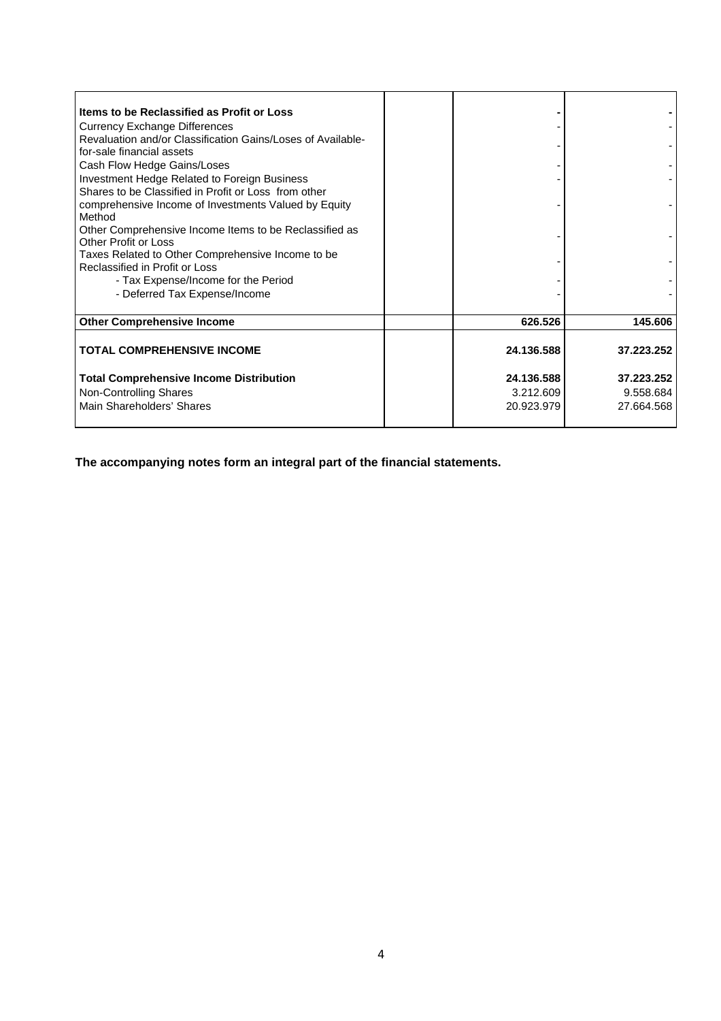| Items to be Reclassified as Profit or Loss                  |            |            |
|-------------------------------------------------------------|------------|------------|
| <b>Currency Exchange Differences</b>                        |            |            |
| Revaluation and/or Classification Gains/Loses of Available- |            |            |
| for-sale financial assets                                   |            |            |
| Cash Flow Hedge Gains/Loses                                 |            |            |
| Investment Hedge Related to Foreign Business                |            |            |
| Shares to be Classified in Profit or Loss from other        |            |            |
| comprehensive Income of Investments Valued by Equity        |            |            |
| Method                                                      |            |            |
| Other Comprehensive Income Items to be Reclassified as      |            |            |
| Other Profit or Loss                                        |            |            |
| Taxes Related to Other Comprehensive Income to be           |            |            |
| Reclassified in Profit or Loss                              |            |            |
| - Tax Expense/Income for the Period                         |            |            |
| - Deferred Tax Expense/Income                               |            |            |
|                                                             |            |            |
| <b>Other Comprehensive Income</b>                           | 626.526    | 145.606    |
|                                                             |            |            |
| <b>TOTAL COMPREHENSIVE INCOME</b>                           | 24.136.588 | 37.223.252 |
|                                                             |            |            |
| <b>Total Comprehensive Income Distribution</b>              | 24.136.588 | 37.223.252 |
| Non-Controlling Shares                                      | 3.212.609  | 9.558.684  |
| Main Shareholders' Shares                                   | 20.923.979 | 27.664.568 |
|                                                             |            |            |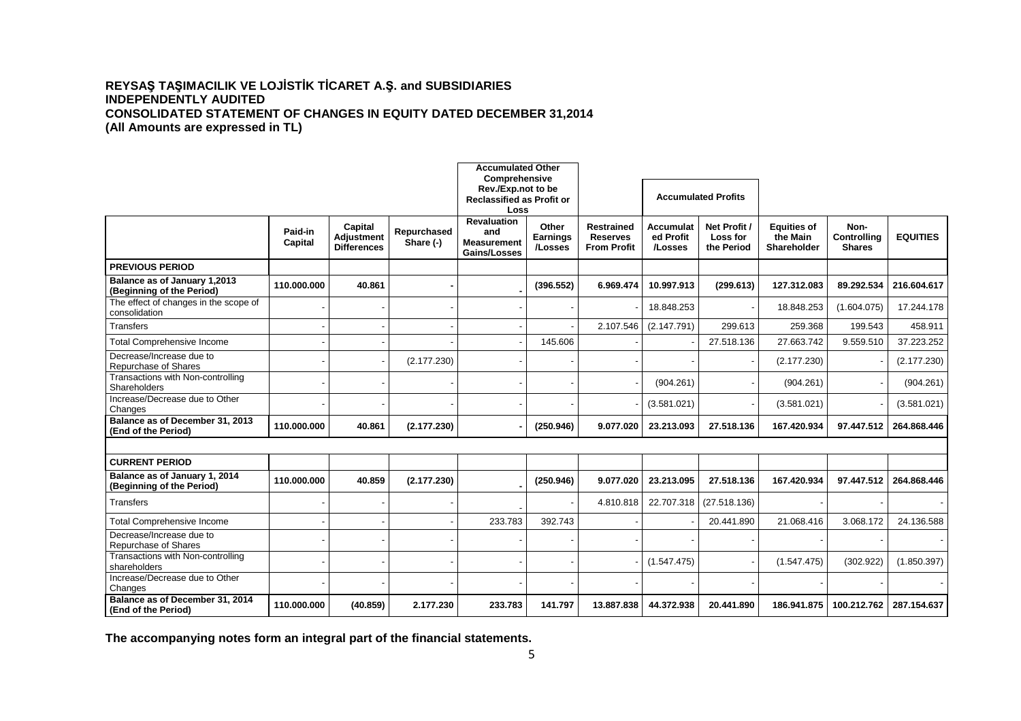# **REYSAŞ TAŞIMACILIK VE LOJİSTİK TİCARET A.Ş. and SUBSIDIARIES INDEPENDENTLY AUDITED CONSOLIDATED STATEMENT OF CHANGES IN EQUITY DATED DECEMBER 31,2014 (All Amounts are expressed in TL)**

|                                                            |                    |                                                    |                          | <b>Accumulated Other</b>                                                        |                                     |                                                            |                                   |                                        |                                               |                                             |                 |
|------------------------------------------------------------|--------------------|----------------------------------------------------|--------------------------|---------------------------------------------------------------------------------|-------------------------------------|------------------------------------------------------------|-----------------------------------|----------------------------------------|-----------------------------------------------|---------------------------------------------|-----------------|
|                                                            |                    |                                                    |                          | Comprehensive<br>Rev./Exp.not to be<br><b>Reclassified as Profit or</b><br>Loss |                                     |                                                            | <b>Accumulated Profits</b>        |                                        |                                               |                                             |                 |
|                                                            | Paid-in<br>Capital | Capital<br><b>Adiustment</b><br><b>Differences</b> | Repurchased<br>Share (-) | <b>Revaluation</b><br>and<br><b>Measurement</b><br>Gains/Losses                 | Other<br><b>Earnings</b><br>/Losses | <b>Restrained</b><br><b>Reserves</b><br><b>From Profit</b> | Accumulat<br>ed Profit<br>/Losses | Net Profit /<br>Loss for<br>the Period | <b>Equities of</b><br>the Main<br>Shareholder | Non-<br><b>Controlling</b><br><b>Shares</b> | <b>EQUITIES</b> |
| <b>PREVIOUS PERIOD</b>                                     |                    |                                                    |                          |                                                                                 |                                     |                                                            |                                   |                                        |                                               |                                             |                 |
| Balance as of January 1,2013<br>(Beginning of the Period)  | 110.000.000        | 40.861                                             |                          |                                                                                 | (396.552)                           | 6.969.474                                                  | 10.997.913                        | (299.613)                              | 127.312.083                                   | 89.292.534                                  | 216.604.617     |
| The effect of changes in the scope of<br>consolidation     |                    |                                                    |                          |                                                                                 |                                     |                                                            | 18.848.253                        |                                        | 18.848.253                                    | (1.604.075)                                 | 17.244.178      |
| <b>Transfers</b>                                           |                    |                                                    |                          |                                                                                 |                                     | 2.107.546                                                  | (2.147.791)                       | 299.613                                | 259.368                                       | 199.543                                     | 458.911         |
| <b>Total Comprehensive Income</b>                          |                    |                                                    |                          |                                                                                 | 145.606                             |                                                            |                                   | 27.518.136                             | 27.663.742                                    | 9.559.510                                   | 37.223.252      |
| Decrease/Increase due to<br>Repurchase of Shares           |                    |                                                    | (2.177.230)              |                                                                                 |                                     |                                                            |                                   |                                        | (2.177.230)                                   |                                             | (2.177.230)     |
| Transactions with Non-controlling<br>Shareholders          |                    |                                                    |                          |                                                                                 |                                     |                                                            | (904.261)                         |                                        | (904.261)                                     |                                             | (904.261)       |
| Increase/Decrease due to Other<br>Changes                  |                    |                                                    |                          |                                                                                 |                                     |                                                            | (3.581.021)                       |                                        | (3.581.021)                                   |                                             | (3.581.021)     |
| Balance as of December 31, 2013<br>(End of the Period)     | 110.000.000        | 40.861                                             | (2.177.230)              |                                                                                 | (250.946)                           | 9.077.020                                                  | 23.213.093                        | 27.518.136                             | 167.420.934                                   | 97.447.512                                  | 264.868.446     |
|                                                            |                    |                                                    |                          |                                                                                 |                                     |                                                            |                                   |                                        |                                               |                                             |                 |
| <b>CURRENT PERIOD</b>                                      |                    |                                                    |                          |                                                                                 |                                     |                                                            |                                   |                                        |                                               |                                             |                 |
| Balance as of January 1, 2014<br>(Beginning of the Period) | 110.000.000        | 40.859                                             | (2.177.230)              |                                                                                 | (250.946)                           | 9.077.020                                                  | 23.213.095                        | 27.518.136                             | 167.420.934                                   | 97.447.512                                  | 264.868.446     |
| <b>Transfers</b>                                           |                    |                                                    |                          |                                                                                 |                                     | 4.810.818                                                  | 22.707.318                        | (27.518.136)                           |                                               |                                             |                 |
| <b>Total Comprehensive Income</b>                          |                    |                                                    |                          | 233.783                                                                         | 392.743                             |                                                            |                                   | 20.441.890                             | 21.068.416                                    | 3.068.172                                   | 24.136.588      |
| Decrease/Increase due to<br>Repurchase of Shares           |                    |                                                    |                          |                                                                                 |                                     |                                                            |                                   |                                        |                                               |                                             |                 |
| Transactions with Non-controlling<br>shareholders          |                    |                                                    |                          |                                                                                 |                                     |                                                            | (1.547.475)                       |                                        | (1.547.475)                                   | (302.922)                                   | (1.850.397)     |
| Increase/Decrease due to Other<br>Changes                  |                    |                                                    |                          |                                                                                 |                                     |                                                            |                                   |                                        |                                               |                                             |                 |
| Balance as of December 31, 2014<br>(End of the Period)     | 110.000.000        | (40.859)                                           | 2.177.230                | 233.783                                                                         | 141.797                             | 13.887.838                                                 | 44.372.938                        | 20.441.890                             | 186.941.875                                   | 100.212.762                                 | 287.154.637     |